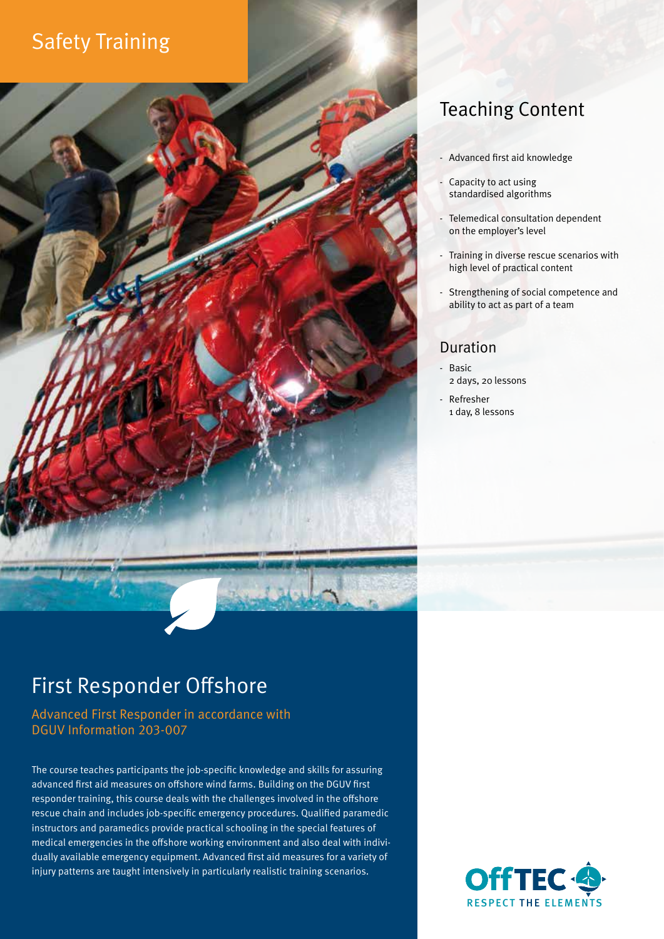# Safety Training



## Teaching Content

- Advanced first aid knowledge
- Capacity to act using standardised algorithms
- Telemedical consultation dependent on the employer's level
- Training in diverse rescue scenarios with high level of practical content
- Strengthening of social competence and ability to act as part of a team

### Duration

- Basic 2 days, 20 lessons
- Refresher 1 day, 8 lessons

# First Responder Offshore

Advanced First Responder in accordance with DGUV Information 203-007

The course teaches participants the job-specific knowledge and skills for assuring advanced first aid measures on offshore wind farms. Building on the DGUV first responder training, this course deals with the challenges involved in the offshore rescue chain and includes job-specific emergency procedures. Qualified paramedic instructors and paramedics provide practical schooling in the special features of medical emergencies in the offshore working environment and also deal with individually available emergency equipment. Advanced first aid measures for a variety of injury patterns are taught intensively in particularly realistic training scenarios.